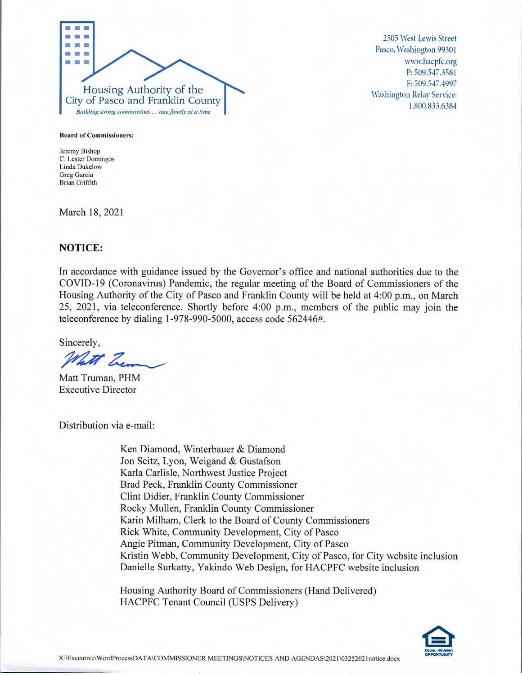

2505 West Lewis Street Pasco, Washington 99301 www.hacpfc.org P: 509.547.3581 F: 509.547.4997 Washington Relay Service: 1.800.833.6384

**Board of Commissioners:** 

**Jeremy Bishop C. Lester Domingos Linda Dukelow Greg Garcia Brian Griffith** 

March 18, 2021

# **NOTICE:**

In accordance with guidance issued by the Governor's office and national authorities due to the COVID-19 (Coronavirus) Pandemic, the regular meeting of the Board of Commissioners of the Housing Authority of the City of Pasco and Franklin County will be held at 4:00 p.m., on March *25,* 2021, via teleconference. Shortly before 4:00 p.m., members of the public may join the teleconference by dialing *1-978-990-5000,* access code *562446#.* 

Sincerely,

What Zum

Matt Truman, PHM Executive Director

Distribution via e-mail:

Ken Diamond, Winterbauer & Diamond Jon Seitz, Lyon, Weigand & Gustafson Karla Carlisle, Northwest Justice Project Brad Peck, Franklin County Commissioner Clint Didier, Franklin County Commissioner Rocky Mullen, Franklin County Commissioner Karin Milham, Clerk to the Board of County Commissioners Rick White, Community Development, City of Pasco Angie Pitman, Community Development, City of Pasco Kristin Webb, Community Development, City of Pasco, for City website inclusion Danielle Surkatty, Yakindo Web Design, for HACPFC website inclusion

Housing Authority Board of Commissioners (Hand Delivered) HACPFC Tenant Council (USPS Delivery)

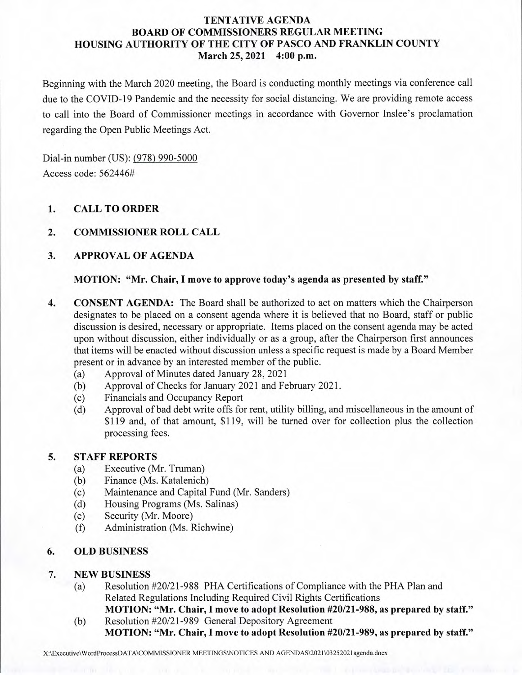# **TENTATIVE AGENDA BOARD OF COMMISSIONERS REGULAR MEETING HOUSING AUTHORITY OF THE CITY OF PASCO AND FRANKLIN COUNTY March 25, 2021 4:00 p.m.**

Beginning with the March 2020 meeting, the Board is conducting monthly meetings via conference call due to the COVID-19 Pandemic and the necessity for social distancing. We are providing remote access to call into the Board of Commissioner meetings in accordance with Governor Inslee's proclamation regarding the Open Public Meetings Act.

Dial-in number (US): (978) 990-5000 Access code: 562446#

# **1. CALL TO ORDER**

# **2. COMMISSIONER ROLL CALL**

# **3. APPROVAL OF AGENDA**

#### **MOTION: "Mr. Chair, I move to approve today's agenda as presented by staff."**

- **4. CONSENT AGENDA:** The Board shall be authorized to act on matters which the Chairperson designates to be placed on a consent agenda where it is believed that no Board, staff or public discussion is desired, necessary or appropriate. Items placed on the consent agenda may be acted upon without discussion, either individually or as a group, after the Chairperson first announces that items will be enacted without discussion unless a specific request is made by a Board Member present or in advance by an interested member of the public.
	- (a) Approval of Minutes dated January 28, 2021
	- (b) Approval of Checks for January 2021 and February 2021.
	- (c) Financials and Occupancy Report
	- (d) Approval of bad debt write offs for rent, utility billing, and miscellaneous in the amount of \$119 and, of that amount, \$119, will be turned over for collection plus the collection processing fees.

### **5. STAFF REPORTS**

- (a) Executive (Mr. Truman)
- (b) Finance (Ms. Katalenich)<br>(c) Maintenance and Capital
- Maintenance and Capital Fund (Mr. Sanders)
- (d) Housing Programs (Ms. Salinas)<br>(e) Security (Mr. Moore)
- Security (Mr. Moore)
- (f) Administration (Ms. Richwine)

### **6. OLD BUSINESS**

### 7. **NEW BUSINESS**

- (a) Resolution #20/21-988 PHA Certifications of Compliance with the PHA Plan and Related Regulations Including Required Civil Rights Certifications
- **MOTION: "Mr. Chair, I move to adopt Resolution #20/21-988,** as **prepared by staff."**  (b) Resolution #20/21-989 General Depository Agreement **MOTION: "Mr. Chair, I move to adopt Resolution** #20/21-989, as **prepared** by staff."

X:\Executive\WordProcessDATA\COMMISSIONER MEETINGS\NOTICES AND AGENDAS\2021\03252021agenda.docx